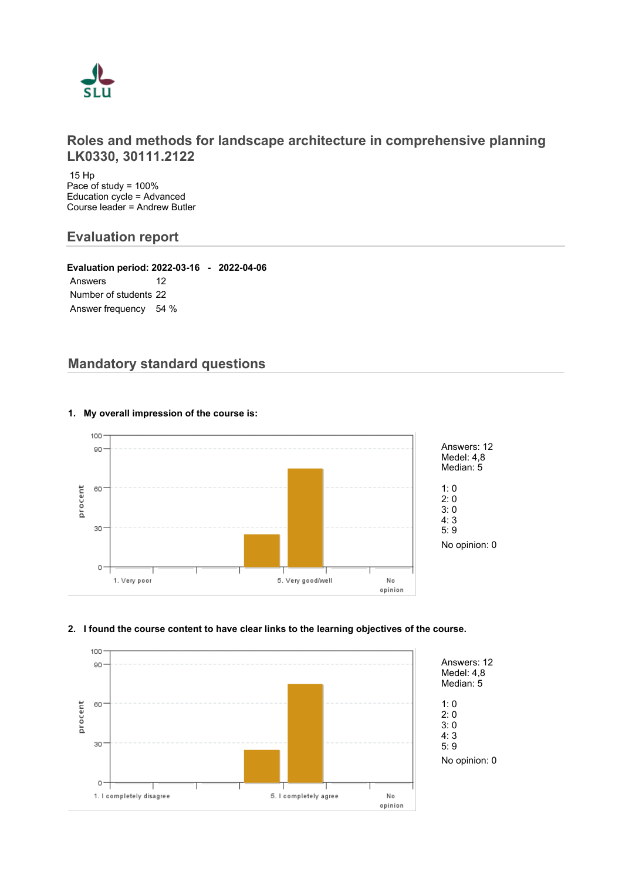

# **Roles and methods for landscape architecture in comprehensive planning LK0330, 30111.2122**

 15 Hp Pace of study = 100% Education cycle = Advanced Course leader = Andrew Butler

# **Evaluation report**

**Evaluation period: 2022-03-16 - 2022-04-06** Answers 12 Number of students 22 Answer frequency 54 %

# **Mandatory standard questions**



# **1. My overall impression of the course is:**

# **2. I found the course content to have clear links to the learning objectives of the course.**

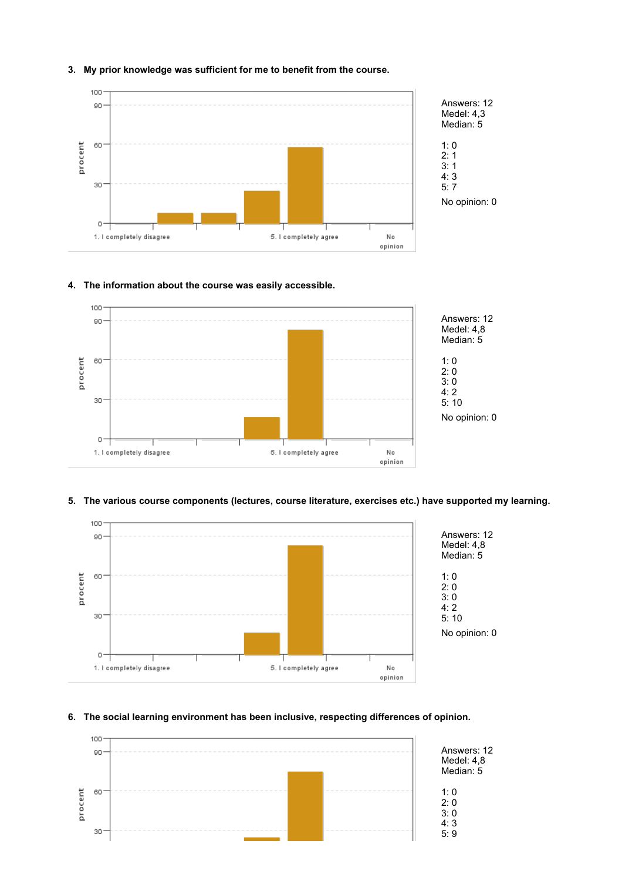

## **3. My prior knowledge was sufficient for me to benefit from the course.**

### **4. The information about the course was easily accessible.**



### **5. The various course components (lectures, course literature, exercises etc.) have supported my learning.**



# **6. The social learning environment has been inclusive, respecting differences of opinion.**

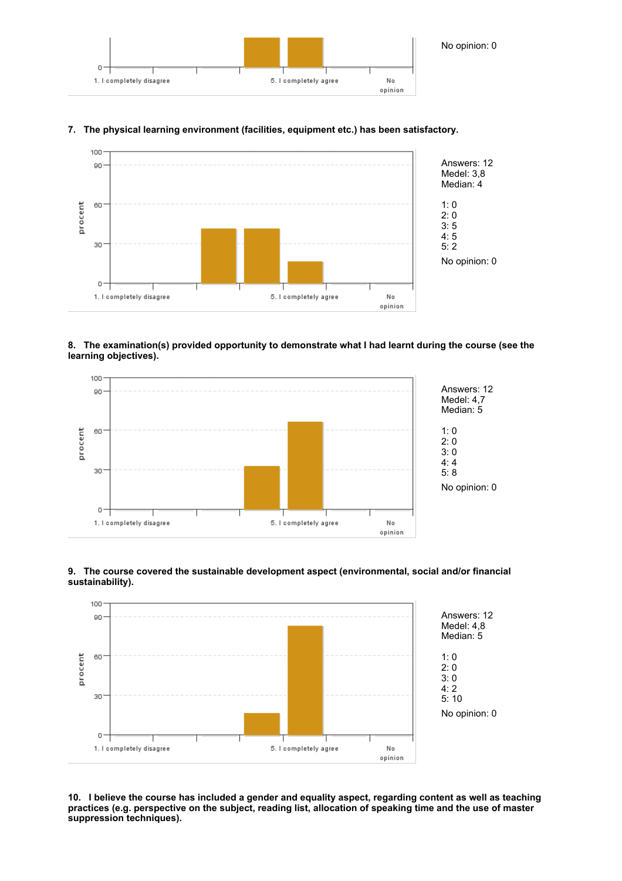

#### 100 Answers: 12 90 Medel: 3,8 Median: 4 procent 60 1: 0  $2:0$ 3: 5 4: 5 30 5: 2 No opinion: 0  $O -$ 1. I completely disagree 5. I completely agree No opinion

# **7. The physical learning environment (facilities, equipment etc.) has been satisfactory.**

**8. The examination(s) provided opportunity to demonstrate what I had learnt during the course (see the learning objectives).**



# **9. The course covered the sustainable development aspect (environmental, social and/or financial sustainability).**



**10. I believe the course has included a gender and equality aspect, regarding content as well as teaching practices (e.g. perspective on the subject, reading list, allocation of speaking time and the use of master suppression techniques).**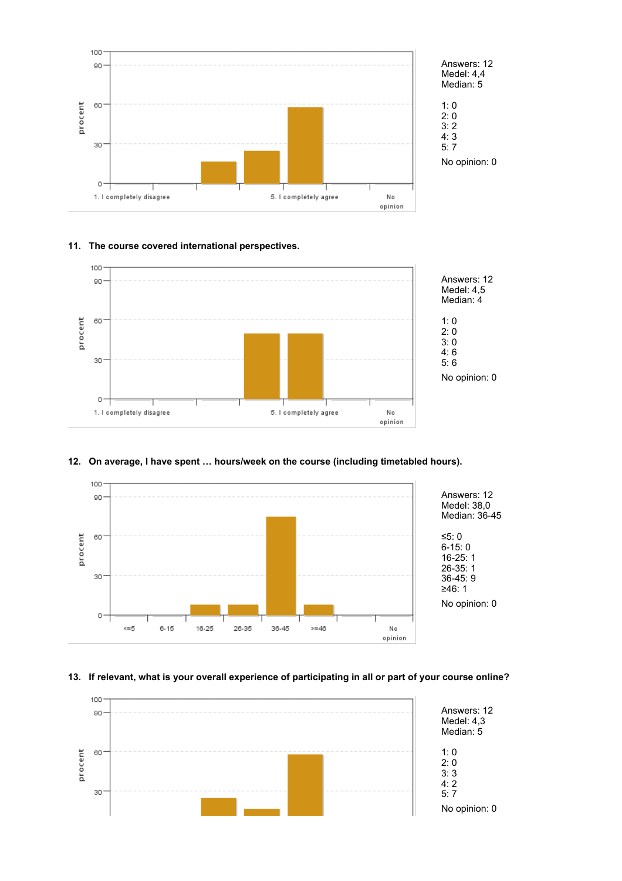

# Answers: 12 Medel: 4,4

No opinion: 0

# **11. The course covered international perspectives.**



# **12. On average, I have spent … hours/week on the course (including timetabled hours).**



# **13. If relevant, what is your overall experience of participating in all or part of your course online?**

![](_page_3_Figure_8.jpeg)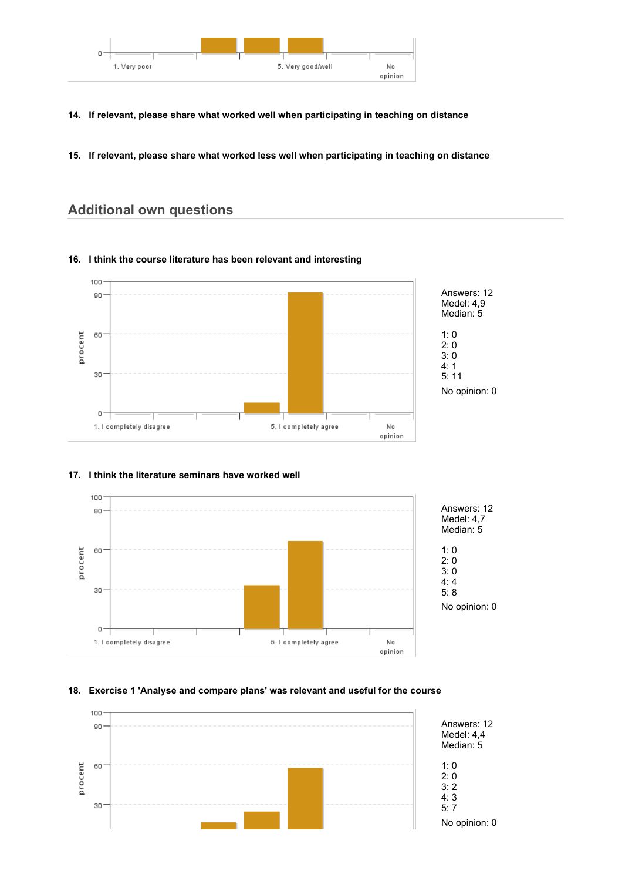![](_page_4_Figure_0.jpeg)

- **14. If relevant, please share what worked well when participating in teaching on distance**
- **15. If relevant, please share what worked less well when participating in teaching on distance**

# **Additional own questions**

### **16. I think the course literature has been relevant and interesting**

![](_page_4_Figure_5.jpeg)

![](_page_4_Figure_6.jpeg)

# **17. I think the literature seminars have worked well**

# **18. Exercise 1 'Analyse and compare plans' was relevant and useful for the course**

![](_page_4_Figure_9.jpeg)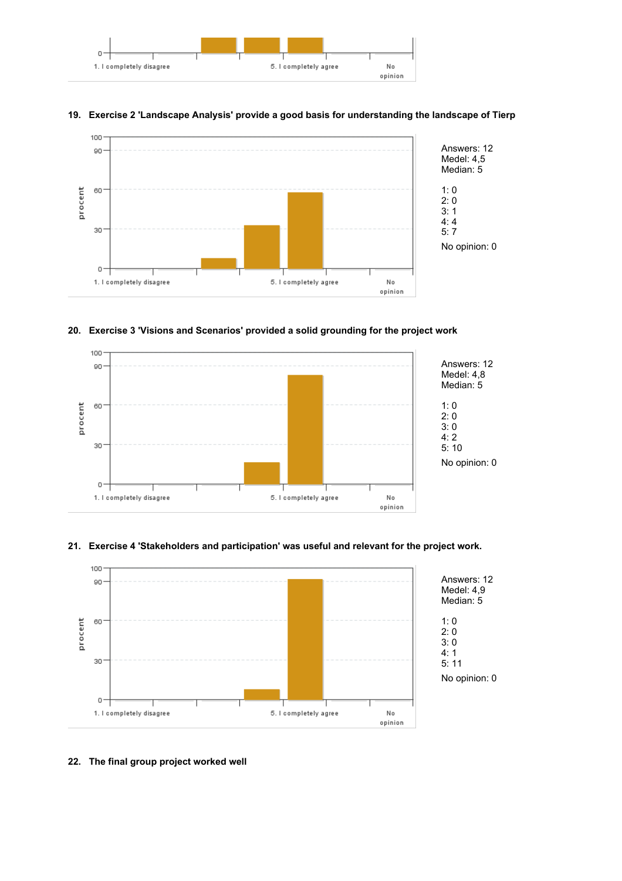![](_page_5_Figure_0.jpeg)

![](_page_5_Figure_1.jpeg)

# **19. Exercise 2 'Landscape Analysis' provide a good basis for understanding the landscape of Tierp**

### **20. Exercise 3 'Visions and Scenarios' provided a solid grounding for the project work**

![](_page_5_Figure_4.jpeg)

#### **21. Exercise 4 'Stakeholders and participation' was useful and relevant for the project work.**

![](_page_5_Figure_6.jpeg)

# **22. The final group project worked well**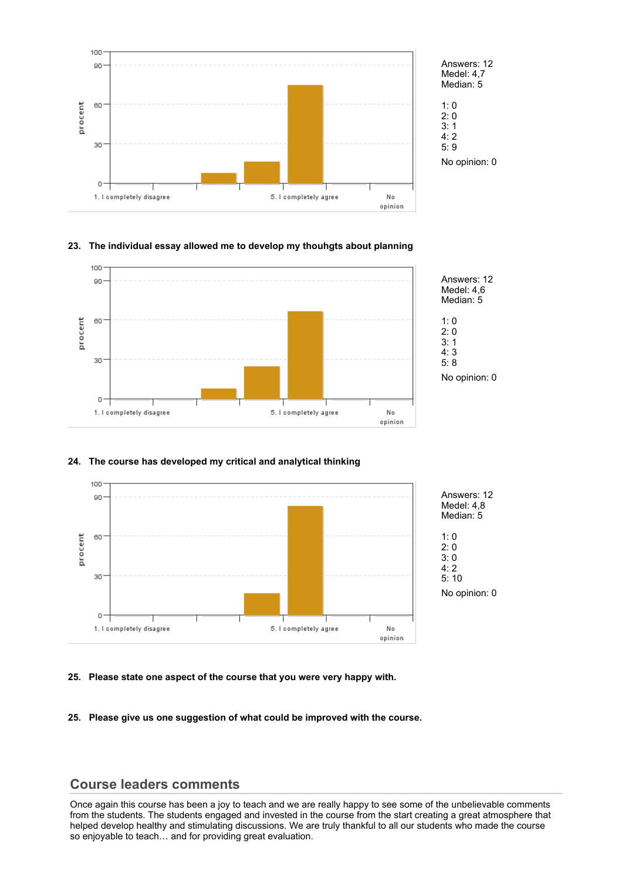![](_page_6_Figure_0.jpeg)

# **23. The individual essay allowed me to develop my thouhgts about planning**

![](_page_6_Figure_2.jpeg)

#### **24. The course has developed my critical and analytical thinking**

![](_page_6_Figure_4.jpeg)

#### **25. Please state one aspect of the course that you were very happy with.**

**25. Please give us one suggestion of what could be improved with the course.**

# **Course leaders comments**

Once again this course has been a joy to teach and we are really happy to see some of the unbelievable comments from the students. The students engaged and invested in the course from the start creating a great atmosphere that helped develop healthy and stimulating discussions. We are truly thankful to all our students who made the course so enjoyable to teach… and for providing great evaluation.